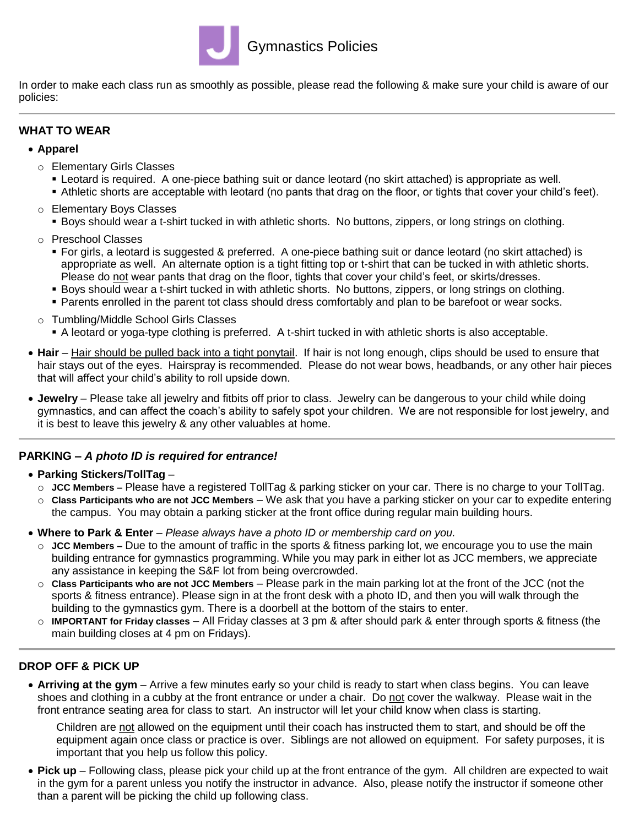

In order to make each class run as smoothly as possible, please read the following & make sure your child is aware of our policies:

## **WHAT TO WEAR**

#### **Apparel**

- o Elementary Girls Classes
	- Leotard is required. A one-piece bathing suit or dance leotard (no skirt attached) is appropriate as well.
	- Athletic shorts are acceptable with leotard (no pants that drag on the floor, or tights that cover your child's feet).
- o Elementary Boys Classes Boys should wear a t-shirt tucked in with athletic shorts. No buttons, zippers, or long strings on clothing.
- o Preschool Classes
	- For girls, a leotard is suggested & preferred. A one-piece bathing suit or dance leotard (no skirt attached) is appropriate as well. An alternate option is a tight fitting top or t-shirt that can be tucked in with athletic shorts. Please do not wear pants that drag on the floor, tights that cover your child's feet, or skirts/dresses.
	- Boys should wear a t-shirt tucked in with athletic shorts. No buttons, zippers, or long strings on clothing.
	- Parents enrolled in the parent tot class should dress comfortably and plan to be barefoot or wear socks.
- o Tumbling/Middle School Girls Classes
	- A leotard or yoga-type clothing is preferred. A t-shirt tucked in with athletic shorts is also acceptable.
- **Hair** Hair should be pulled back into a tight ponytail. If hair is not long enough, clips should be used to ensure that hair stays out of the eyes. Hairspray is recommended. Please do not wear bows, headbands, or any other hair pieces that will affect your child's ability to roll upside down.
- **Jewelry** Please take all jewelry and fitbits off prior to class. Jewelry can be dangerous to your child while doing gymnastics, and can affect the coach's ability to safely spot your children. We are not responsible for lost jewelry, and it is best to leave this jewelry & any other valuables at home.

### **PARKING –** *A photo ID is required for entrance!*

- **Parking Stickers/TollTag**
	- o **JCC Members –** Please have a registered TollTag & parking sticker on your car. There is no charge to your TollTag.
	- o **Class Participants who are not JCC Members** We ask that you have a parking sticker on your car to expedite entering the campus. You may obtain a parking sticker at the front office during regular main building hours.
- **Where to Park & Enter** *Please always have a photo ID or membership card on you.*
	- o **JCC Members –** Due to the amount of traffic in the sports & fitness parking lot, we encourage you to use the main building entrance for gymnastics programming. While you may park in either lot as JCC members, we appreciate any assistance in keeping the S&F lot from being overcrowded.
	- o **Class Participants who are not JCC Members** Please park in the main parking lot at the front of the JCC (not the sports & fitness entrance). Please sign in at the front desk with a photo ID, and then you will walk through the building to the gymnastics gym. There is a doorbell at the bottom of the stairs to enter.
	- o **IMPORTANT for Friday classes** *–* All Friday classes at 3 pm & after should park & enter through sports & fitness (the main building closes at 4 pm on Fridays).

# **DROP OFF & PICK UP**

 **Arriving at the gym** – Arrive a few minutes early so your child is ready to start when class begins. You can leave shoes and clothing in a cubby at the front entrance or under a chair. Do not cover the walkway. Please wait in the front entrance seating area for class to start. An instructor will let your child know when class is starting.

Children are not allowed on the equipment until their coach has instructed them to start, and should be off the equipment again once class or practice is over. Siblings are not allowed on equipment. For safety purposes, it is important that you help us follow this policy.

 **Pick up** – Following class, please pick your child up at the front entrance of the gym. All children are expected to wait in the gym for a parent unless you notify the instructor in advance. Also, please notify the instructor if someone other than a parent will be picking the child up following class.